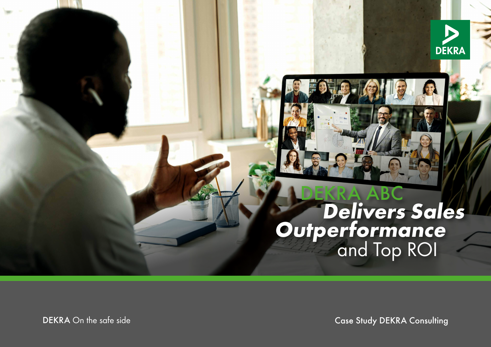

# **COEKRA ABC<br>Delivers Sales Outperformance and Top ROI**

DEKRA On the safe side

Case Study DEKRA Consulting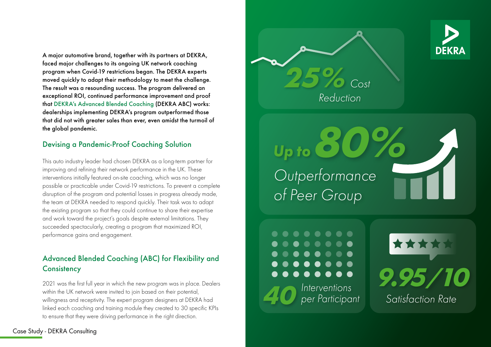A major automotive brand, together with its partners at DEKRA, faced major challenges to its ongoing UK network coaching program when Covid-19 restrictions began. The DEKRA experts moved quickly to adapt their methodology to meet the challenge. The result was a resounding success. The program delivered an exceptional ROI, continued performance improvement and proof that [DEKRA's Advanced Blended Coaching](https://www.dekra.com/en/dekra-advanced-blended-coaching/) (DEKRA ABC) works: dealerships implementing DEKRA's program outperformed those that did not with greater sales than ever, even amidst the turmoil of the global pandemic.

#### Devising a Pandemic-Proof Coaching Solution

This auto industry leader had chosen DEKRA as a long-term partner for improving and refining their network performance in the UK. These interventions initially featured on-site coaching, which was no longer possible or practicable under Covid-19 restrictions. To prevent a complete disruption of the program and potential losses in progress already made, the team at DEKRA needed to respond quickly. Their task was to adapt the existing program so that they could continue to share their expertise and work toward the project's goals despite external limitations. They succeeded spectacularly, creating a program that maximized ROI, performance gains and engagement.

#### Advanced Blended Coaching (ABC) for Flexibility and **Consistency**

2021 was the first full year in which the new program was in place. Dealers within the UK network were invited to join based on their potential, willingness and receptivity. The expert program designers at DEKRA had linked each coaching and training module they created to 30 specific KPIs to ensure that they were driving performance in the right direction.

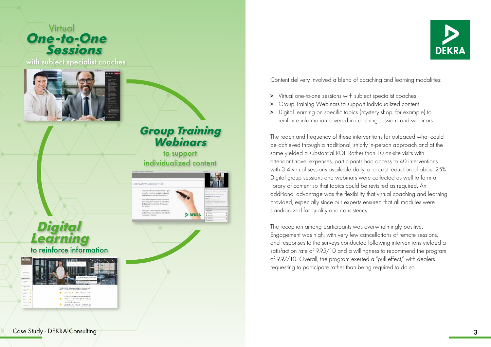**Virtual One-to-One**<br>Sessions

with subject specialist coaches



### *Group Training Webinars*

to support individualized content

CAN WE ACHIEVE THIST **DEKRA** 



Content delivery involved a blend of coaching and learning modalities:

- > Virtual one-to-one sessions with subject specialist coaches
- > Group Training Webinars to support individualized content
- > Digital learning on specific topics (mystery shop, for example) to reinforce information covered in coaching sessions and webinars

The reach and frequency of these interventions far outpaced what could be achieved through a traditional, strictly in-person approach and at the same yielded a substantial ROI. Rather than 10 on-site visits with attendant travel expenses, participants had access to 40 interventions with 3-4 virtual sessions available daily, at a cost reduction of about 25%. Digital group sessions and webinars were collected as well to form a library of content so that topics could be revisited as required. An additional advantage was the flexibility that virtual coaching and learning provided, especially since our experts ensured that all modules were standardized for quality and consistency.

The reception among participants was overwhelmingly positive. Engagement was high, with very few cancellations of remote sessions, and responses to the surveys conducted following interventions yielded a satisfaction rate of 9.95/10 and a willingness to recommend the program of 9.97/10. Overall, the program exerted a "pull effect," with dealers requesting to participate rather than being required to do so.

 *Digital Learning* to reinforce information

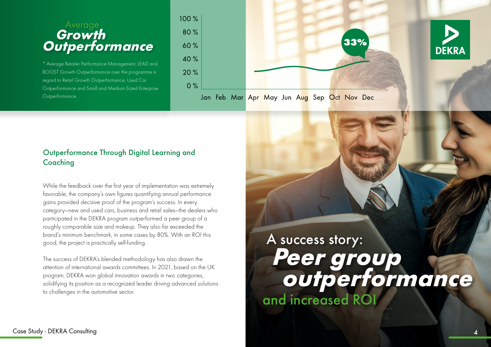### Average<br>**Growth**  *Growth Outperformance*

\* Average Retailer Performance Management, LEAD and BOOST Growth Outperformance over the programme in regard to Retail Growth Outperformance, Used Car Outperformance and Small and Medium-Sized Enterprise Outperformance.



#### Outperformance Through Digital Learning and Coaching

While the feedback over the first year of implementation was extremely favorable, the company's own figures quantifying annual performance gains provided decisive proof of the program's success. In every category—new and used cars, business and retail sales—the dealers who participated in the DEKRA program outperformed a peer group of a roughly comparable size and makeup. They also far exceeded the brand's minimum benchmark, in some cases by 80%. With an ROI this good, the project is practically self-funding.

The success of DEKRA's blended methodology has also drawn the attention of international awards committees. In 2021, based on the UK program, DEKRA won global innovation awards in two categories, solidifying its position as a recognized leader driving advanced solutions to challenges in the automotive sector.

# A success story:  *Peer group outperformance* and increased ROI